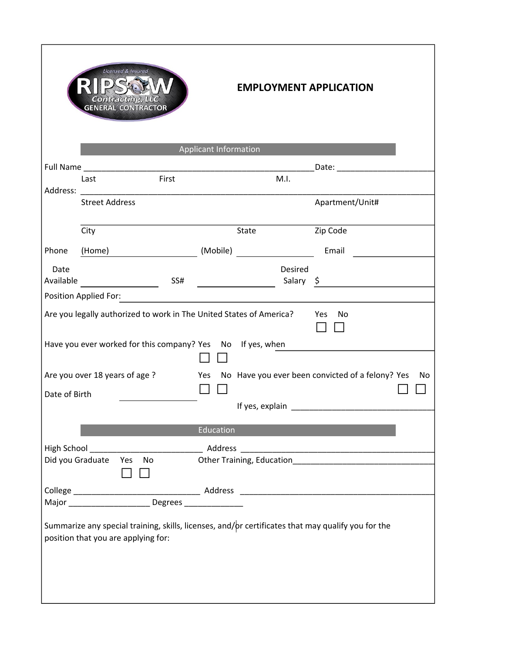|                                                                                   |                                                                                        | <b>Licensed &amp; Insured</b><br>Contracting, LLC<br><b>GENERAL CONTRACTOR</b>                                                                                                                                                                                                                                                                                                                                                          |                                                                                                               | <b>EMPLOYMENT APPLICATION</b> |                                                                                                    |  |
|-----------------------------------------------------------------------------------|----------------------------------------------------------------------------------------|-----------------------------------------------------------------------------------------------------------------------------------------------------------------------------------------------------------------------------------------------------------------------------------------------------------------------------------------------------------------------------------------------------------------------------------------|---------------------------------------------------------------------------------------------------------------|-------------------------------|----------------------------------------------------------------------------------------------------|--|
| <b>Applicant Information</b>                                                      |                                                                                        |                                                                                                                                                                                                                                                                                                                                                                                                                                         |                                                                                                               |                               |                                                                                                    |  |
|                                                                                   |                                                                                        |                                                                                                                                                                                                                                                                                                                                                                                                                                         |                                                                                                               |                               |                                                                                                    |  |
|                                                                                   | Last                                                                                   | First                                                                                                                                                                                                                                                                                                                                                                                                                                   |                                                                                                               | M.I.                          |                                                                                                    |  |
|                                                                                   | <b>Street Address</b>                                                                  |                                                                                                                                                                                                                                                                                                                                                                                                                                         |                                                                                                               |                               | Apartment/Unit#                                                                                    |  |
|                                                                                   | City                                                                                   |                                                                                                                                                                                                                                                                                                                                                                                                                                         | State                                                                                                         |                               | Zip Code                                                                                           |  |
| Phone                                                                             |                                                                                        |                                                                                                                                                                                                                                                                                                                                                                                                                                         |                                                                                                               |                               | Email                                                                                              |  |
| Date<br>Available                                                                 |                                                                                        | SS#<br>$\overline{\phantom{a}}$ . The contract of $\overline{\phantom{a}}$ , $\overline{\phantom{a}}$ , $\overline{\phantom{a}}$ , $\overline{\phantom{a}}$ , $\overline{\phantom{a}}$ , $\overline{\phantom{a}}$ , $\overline{\phantom{a}}$ , $\overline{\phantom{a}}$ , $\overline{\phantom{a}}$ , $\overline{\phantom{a}}$ , $\overline{\phantom{a}}$ , $\overline{\phantom{a}}$ , $\overline{\phantom{a}}$ , $\overline{\phantom{a$ |                                                                                                               | Desired                       | Salary \$                                                                                          |  |
|                                                                                   | Position Applied For:                                                                  |                                                                                                                                                                                                                                                                                                                                                                                                                                         |                                                                                                               |                               |                                                                                                    |  |
| Are you legally authorized to work in The United States of America?<br>Yes<br>No. |                                                                                        |                                                                                                                                                                                                                                                                                                                                                                                                                                         |                                                                                                               |                               |                                                                                                    |  |
|                                                                                   |                                                                                        |                                                                                                                                                                                                                                                                                                                                                                                                                                         | Have you ever worked for this company? Yes No If yes, when                                                    |                               |                                                                                                    |  |
|                                                                                   | Are you over 18 years of age ?<br>Yes No Have you ever been convicted of a felony? Yes |                                                                                                                                                                                                                                                                                                                                                                                                                                         |                                                                                                               |                               |                                                                                                    |  |
| Date of Birth                                                                     |                                                                                        |                                                                                                                                                                                                                                                                                                                                                                                                                                         | If yes, explain example and the state of the state of the state of the state of the state of the state of the |                               |                                                                                                    |  |
|                                                                                   |                                                                                        |                                                                                                                                                                                                                                                                                                                                                                                                                                         | Education                                                                                                     |                               |                                                                                                    |  |
|                                                                                   |                                                                                        |                                                                                                                                                                                                                                                                                                                                                                                                                                         |                                                                                                               |                               |                                                                                                    |  |
| Did you Graduate Yes<br>No                                                        |                                                                                        |                                                                                                                                                                                                                                                                                                                                                                                                                                         |                                                                                                               |                               |                                                                                                    |  |
|                                                                                   |                                                                                        |                                                                                                                                                                                                                                                                                                                                                                                                                                         |                                                                                                               |                               |                                                                                                    |  |
|                                                                                   |                                                                                        | Major _________________________ Degrees ________________                                                                                                                                                                                                                                                                                                                                                                                |                                                                                                               |                               |                                                                                                    |  |
|                                                                                   |                                                                                        | position that you are applying for:                                                                                                                                                                                                                                                                                                                                                                                                     |                                                                                                               |                               | Summarize any special training, skills, licenses, and/pr certificates that may qualify you for the |  |
|                                                                                   |                                                                                        |                                                                                                                                                                                                                                                                                                                                                                                                                                         |                                                                                                               |                               |                                                                                                    |  |
|                                                                                   |                                                                                        |                                                                                                                                                                                                                                                                                                                                                                                                                                         |                                                                                                               |                               |                                                                                                    |  |
|                                                                                   |                                                                                        |                                                                                                                                                                                                                                                                                                                                                                                                                                         |                                                                                                               |                               |                                                                                                    |  |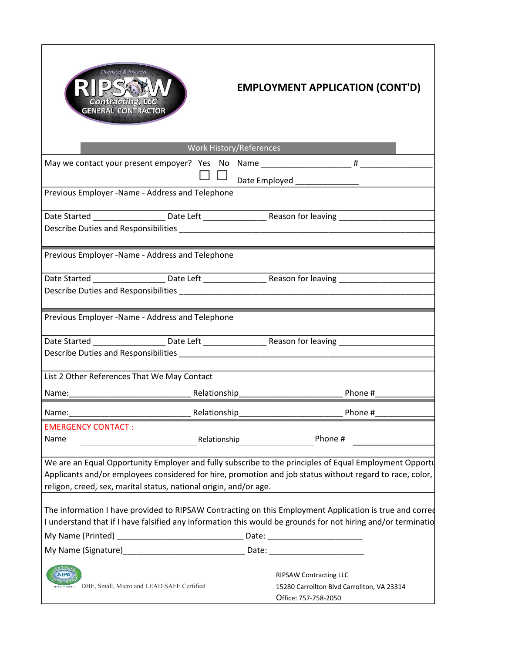| Licensed & Insured<br>Contracting, LLC<br><b>GENERAL CONTRACTOR</b> | <b>EMPLOYMENT APPLICATION (CONT'D)</b>                                                                                                                                                                                                     |  |  |  |
|---------------------------------------------------------------------|--------------------------------------------------------------------------------------------------------------------------------------------------------------------------------------------------------------------------------------------|--|--|--|
|                                                                     | Work History/References                                                                                                                                                                                                                    |  |  |  |
|                                                                     | May we contact your present empoyer? Yes No Name ______________________# ____________                                                                                                                                                      |  |  |  |
|                                                                     |                                                                                                                                                                                                                                            |  |  |  |
| Previous Employer -Name - Address and Telephone                     |                                                                                                                                                                                                                                            |  |  |  |
|                                                                     |                                                                                                                                                                                                                                            |  |  |  |
|                                                                     |                                                                                                                                                                                                                                            |  |  |  |
| Previous Employer -Name - Address and Telephone                     |                                                                                                                                                                                                                                            |  |  |  |
|                                                                     |                                                                                                                                                                                                                                            |  |  |  |
|                                                                     |                                                                                                                                                                                                                                            |  |  |  |
|                                                                     |                                                                                                                                                                                                                                            |  |  |  |
| Previous Employer -Name - Address and Telephone                     |                                                                                                                                                                                                                                            |  |  |  |
|                                                                     |                                                                                                                                                                                                                                            |  |  |  |
|                                                                     |                                                                                                                                                                                                                                            |  |  |  |
| List 2 Other References That We May Contact                         |                                                                                                                                                                                                                                            |  |  |  |
|                                                                     |                                                                                                                                                                                                                                            |  |  |  |
|                                                                     |                                                                                                                                                                                                                                            |  |  |  |
| Name:                                                               |                                                                                                                                                                                                                                            |  |  |  |
| <b>EMERGENCY CONTACT:</b><br>Name                                   | Phone #<br>Relationship and the state of the state of the state of the state of the state of the state of the state of the state of the state of the state of the state of the state of the state of the state of the state of the state o |  |  |  |
|                                                                     |                                                                                                                                                                                                                                            |  |  |  |
| religon, creed, sex, marital status, national origin, and/or age.   | We are an Equal Opportunity Employer and fully subscribe to the principles of Equal Employment Opportu<br>Applicants and/or employees considered for hire, promotion and job status without regard to race, color,                         |  |  |  |
|                                                                     | The information I have provided to RIPSAW Contracting on this Employment Application is true and corred                                                                                                                                    |  |  |  |
|                                                                     | I understand that if I have falsified any information this would be grounds for not hiring and/or terminatio                                                                                                                               |  |  |  |
|                                                                     |                                                                                                                                                                                                                                            |  |  |  |
|                                                                     |                                                                                                                                                                                                                                            |  |  |  |
| <b>SEPA</b>                                                         | <b>RIPSAW Contracting LLC</b>                                                                                                                                                                                                              |  |  |  |
| NATE 124881 1 DBE, Small, Micro and LEAD SAFE Certified             | 15280 Carrollton Blvd Carrollton, VA 23314                                                                                                                                                                                                 |  |  |  |
|                                                                     | Office: 757-758-2050                                                                                                                                                                                                                       |  |  |  |

٦

Г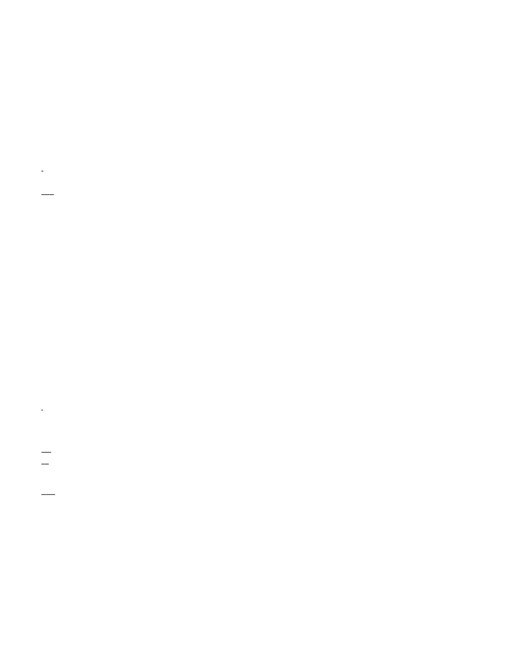$\frac{1}{2} \left( \frac{1}{2} \right) \left( \frac{1}{2} \right) \left( \frac{1}{2} \right)$ 

 $\omega_{\rm{max}}$ 

 $\frac{1}{2}$ 

 $\frac{1}{1}$